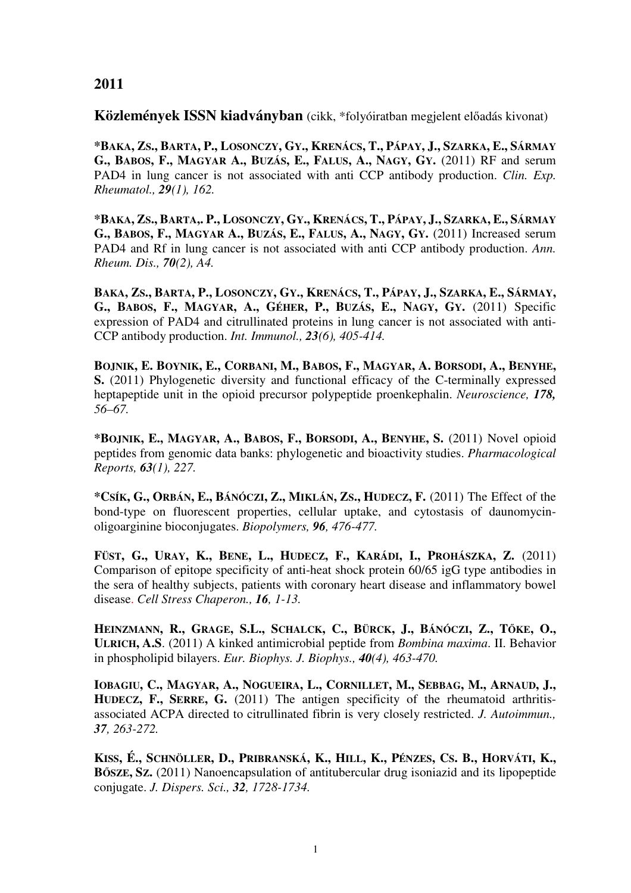## **2011**

**Közlemények ISSN kiadványban** (cikk, \*folyóiratban megjelent előadás kivonat)

\*BAKA, ZS., BARTA, P., LOSONCZY, GY., KRENÁCS, T., PÁPAY, J., SZARKA, E., SÁRMAY G., BABOS, F., MAGYAR A., BUZÁS, E., FALUS, A., NAGY, GY. (2011) RF and serum PAD4 in lung cancer is not associated with anti CCP antibody production. *Clin. Exp. Rheumatol., 29(1), 162.*

\*BAKA, ZS., BARTA,, P., LOSONCZY, GY., KRENÁCS, T., PÁPAY, J., SZARKA, E., SÁRMAY G., BABOS, F., MAGYAR A., BUZÁS, E., FALUS, A., NAGY, GY. (2011) Increased serum PAD4 and Rf in lung cancer is not associated with anti CCP antibody production. *Ann. Rheum. Dis., 70(2), A4.* 

BAKA, ZS., BARTA, P., LOSONCZY, GY., KRENÁCS, T., PÁPAY, J., SZARKA, E., SÁRMAY, G., BABOS, F., MAGYAR, A., GÉHER, P., BUZÁS, E., NAGY, GY. (2011) Specific expression of PAD4 and citrullinated proteins in lung cancer is not associated with anti-CCP antibody production. *Int. Immunol., 23(6), 405-414.* 

BOJNIK, E. BOYNIK, E., CORBANI, M., BABOS, F., MAGYAR, A. BORSODI, A., BENYHE, **S.** (2011) Phylogenetic diversity and functional efficacy of the C-terminally expressed heptapeptide unit in the opioid precursor polypeptide proenkephalin. *Neuroscience, 178, 56–67.* 

**\*BOJNIK, E., MAGYAR, A., BABOS, F., BORSODI, A., BENYHE, S.** (2011) Novel opioid peptides from genomic data banks: phylogenetic and bioactivity studies. *Pharmacological Reports, 63(1), 227.*

\*Csík, G., ORBÁN, E., BÁNÓCZI, Z., MIKLÁN, ZS., HUDECZ, F. (2011) The Effect of the bond-type on fluorescent properties, cellular uptake, and cytostasis of daunomycinoligoarginine bioconjugates. *Biopolymers, 96, 476-477.*

FÜST, G., URAY, K., BENE, L., HUDECZ, F., KARÁDI, I., PROHÁSZKA, Z. (2011) Comparison of epitope specificity of anti-heat shock protein 60/65 igG type antibodies in the sera of healthy subjects, patients with coronary heart disease and inflammatory bowel disease. *Cell Stress Chaperon., 16, 1-13.*

HEINZMANN, R., GRAGE, S.L., SCHALCK, C., BÜRCK, J., BÁNÓCZI, Z., TŐKE, O., **ULRICH, A.S**. (2011) A kinked antimicrobial peptide from *Bombina maxima*. II. Behavior in phospholipid bilayers. *Eur. Biophys. J. Biophys., 40(4), 463-470.* 

IOBAGIU, C., MAGYAR, A., NOGUEIRA, L., CORNILLET, M., SEBBAG, M., ARNAUD, J., **HUDECZ, F., SERRE, G.** (2011) The antigen specificity of the rheumatoid arthritisassociated ACPA directed to citrullinated fibrin is very closely restricted. *J. Autoimmun., 37, 263-272.*

KISS, É., SCHNÖLLER, D., PRIBRANSKÁ, K., HILL, K., PÉNZES, CS. B., HORVÁTI, K., **B**Ő**SZE, SZ.** (2011) Nanoencapsulation of antitubercular drug isoniazid and its lipopeptide conjugate. *J. Dispers. Sci., 32, 1728-1734.*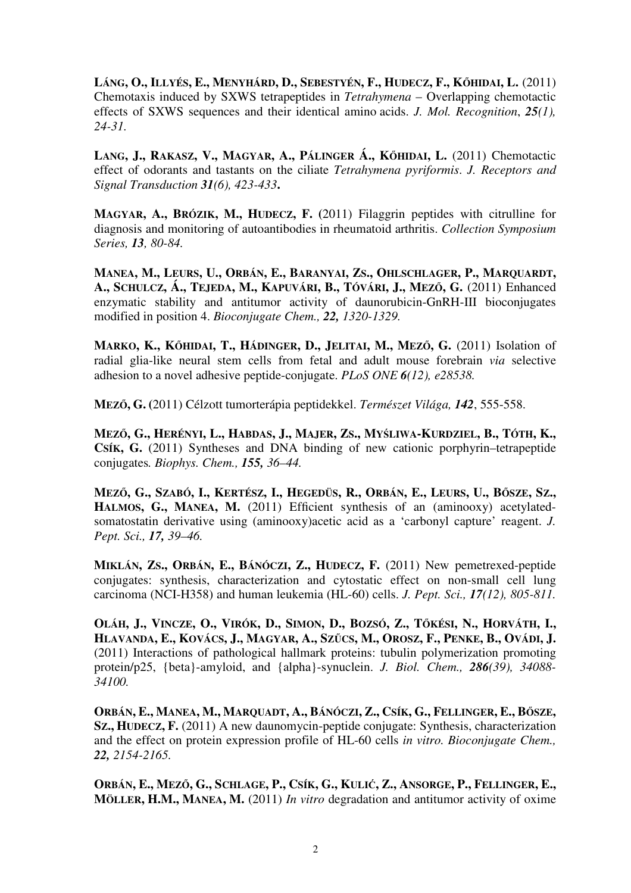LÁNG, O., ILLYÉS, E., MENYHÁRD, D., SEBESTYÉN, F., HUDECZ, F., KŐHIDAI, L. (2011) Chemotaxis induced by SXWS tetrapeptides in *Tetrahymena* – Overlapping chemotactic effects of SXWS sequences and their identical amino acids. *J. Mol. Recognition*, *25(1), 24-31.*

**LANG, J., RAKASZ, V., MAGYAR, A., PÁLINGER Á., K**Ő**HIDAI, L.** (2011) Chemotactic effect of odorants and tastants on the ciliate *Tetrahymena pyriformis*. *J. Receptors and Signal Transduction 31(6), 423-433***.**

**MAGYAR, A., BRÓZIK, M., HUDECZ, F. (**2011) Filaggrin peptides with citrulline for diagnosis and monitoring of autoantibodies in rheumatoid arthritis. *Collection Symposium Series, 13, 80-84.* 

MANEA, M., LEURS, U., ORBÁN, E., BARANYAI, ZS., OHLSCHLAGER, P., MARQUARDT, A., SCHULCZ, Á., TEJEDA, M., KAPUVÁRI, B., TÓVÁRI, J., MEZŐ, G. (2011) Enhanced enzymatic stability and antitumor activity of daunorubicin-GnRH-III bioconjugates modified in position 4. *Bioconjugate Chem., 22, 1320-1329.* 

**MARKO, K., K**Ő**HIDAI, T., HÁDINGER, D., JELITAI, M., MEZ**Ő**, G.** (2011) Isolation of radial glia-like neural stem cells from fetal and adult mouse forebrain *via* selective adhesion to a novel adhesive peptide-conjugate. *PLoS ONE 6(12), e28538.*

**MEZ**Ő**, G. (**2011) Célzott tumorterápia peptidekkel. *Természet Világa, 142*, 555-558.

MEZŐ, G., HERÉNYI, L., HABDAS, J., MAJER, ZS., MYŚLIWA-KURDZIEL, B., TÓTH, K., **CSÍK, G.** (2011) Syntheses and DNA binding of new cationic porphyrin–tetrapeptide conjugates*. Biophys. Chem., 155, 36–44.* 

MEZŐ, G., SZABÓ, I., KERTÉSZ, I., HEGEDÜS, R., ORBÁN, E., LEURS, U., BŐSZE, SZ., **HALMOS, G., MANEA, M.** (2011) Efficient synthesis of an (aminooxy) acetylatedsomatostatin derivative using (aminooxy)acetic acid as a 'carbonyl capture' reagent. *J. Pept. Sci., 17, 39–46.* 

**MIKLÁN, ZS., ORBÁN, E., BÁNÓCZI, Z., HUDECZ, F.** (2011) New pemetrexed-peptide conjugates: synthesis, characterization and cytostatic effect on non-small cell lung carcinoma (NCI-H358) and human leukemia (HL-60) cells. *J. Pept. Sci., 17(12), 805-811.* 

OLÁH, J., VINCZE, O., VIRÓK, D., SIMON, D., BOZSÓ, Z., TŐKÉSI, N., HORVÁTH, I., HLAVANDA, E., KOVÁCS, J., MAGYAR, A., SZŰCS, M., OROSZ, F., PENKE, B., OVÁDI, J. (2011) Interactions of pathological hallmark proteins: tubulin polymerization promoting protein/p25, {beta}-amyloid, and {alpha}-synuclein. *J. Biol. Chem., 286(39), 34088- 34100.* 

ORBÁN, E., MANEA, M., MARQUADT, A., BÁNÓCZI, Z., CSÍK, G., FELLINGER, E., BŐSZE, **SZ., HUDECZ, F.** (2011) A new daunomycin-peptide conjugate: Synthesis, characterization and the effect on protein expression profile of HL-60 cells *in vitro. Bioconjugate Chem., 22, 2154-2165.* 

ORBÁN, E., MEZŐ, G., SCHLAGE, P., CSÍK, G., KULIĆ, Z., ANSORGE, P., FELLINGER, E., **MÖLLER, H.M., MANEA, M.** (2011) *In vitro* degradation and antitumor activity of oxime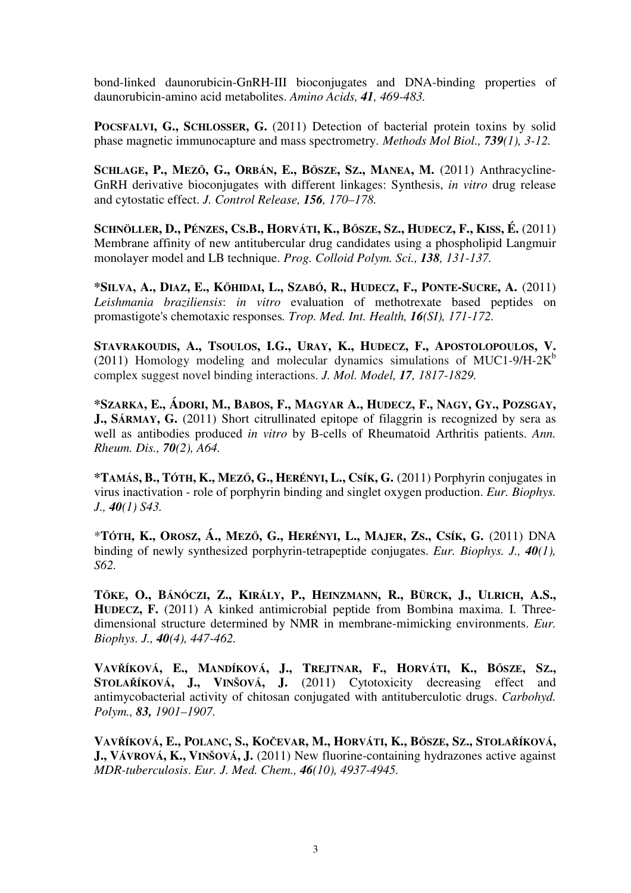bond-linked daunorubicin-GnRH-III bioconjugates and DNA-binding properties of daunorubicin-amino acid metabolites. *Amino Acids, 41, 469-483.* 

**POCSFALVI, G., SCHLOSSER, G.** (2011) Detection of bacterial protein toxins by solid phase magnetic immunocapture and mass spectrometry. *Methods Mol Biol., 739(1), 3-12.* 

SCHLAGE, P., MEZŐ, G., ORBÁN, E., BŐSZE, SZ., MANEA, M. (2011) Anthracycline-GnRH derivative bioconjugates with different linkages: Synthesis, *in vitro* drug release and cytostatic effect. *J. Control Release, 156, 170–178.* 

SCHNÖLLER, D., PÉNZES, CS.B., HORVÁTI, K., BŐSZE, SZ., HUDECZ, F., KISS, É. (2011) Membrane affinity of new antitubercular drug candidates using a phospholipid Langmuir monolayer model and LB technique. *Prog. Colloid Polym. Sci., 138, 131-137.* 

\*SILVA, A., DIAZ, E., KŐHIDAI, L., SZABÓ, R., HUDECZ, F., PONTE-SUCRE, A. (2011) *Leishmania braziliensis*: *in vitro* evaluation of methotrexate based peptides on promastigote's chemotaxic responses*. Trop. Med. Int. Health, 16(SI), 171-172.* 

**STAVRAKOUDIS, A., TSOULOS, I.G., URAY, K., HUDECZ, F., APOSTOLOPOULOS, V.** (2011) Homology modeling and molecular dynamics simulations of MUC1-9/H-2 $\text{K}^{\text{b}}$ complex suggest novel binding interactions. *J. Mol. Model, 17, 1817-1829.* 

\*SZARKA, E., ÁDORI, M., BABOS, F., MAGYAR A., HUDECZ, F., NAGY, GY., POZSGAY, **J., SÁRMAY, G.** (2011) Short citrullinated epitope of filaggrin is recognized by sera as well as antibodies produced *in vitro* by B-cells of Rheumatoid Arthritis patients. *Ann. Rheum. Dis., 70(2), A64.*

**\*TAMÁS, B., TÓTH, K., MEZ**Ő**, G., HERÉNYI, L., CSÍK, G.** (2011) Porphyrin conjugates in virus inactivation - role of porphyrin binding and singlet oxygen production. *Eur. Biophys. J., 40(1) S43.*

\*TÓTH, K., OROSZ, Á., MEZŐ, G., HERÉNYI, L., MAJER, ZS., CSÍK, G. (2011) DNA binding of newly synthesized porphyrin-tetrapeptide conjugates. *Eur. Biophys. J., 40(1), S62.*

TŐKE, O., BÁNÓCZI, Z., KIRÁLY, P., HEINZMANN, R., BÜRCK, J., ULRICH, A.S., **HUDECZ, F.** (2011) A kinked antimicrobial peptide from Bombina maxima. I. Threedimensional structure determined by NMR in membrane-mimicking environments. *Eur. Biophys. J., 40(4), 447-462.*

VAVŘÍKOVÁ, E., MANDÍKOVÁ, J., TREJTNAR, F., HORVÁTI, K., BŐSZE, SZ., **STOLA**Ř**ÍKOVÁ, J., VINŠOVÁ, J.** (2011) Cytotoxicity decreasing effect and antimycobacterial activity of chitosan conjugated with antituberculotic drugs. *Carbohyd. Polym., 83, 1901–1907.*

VAVŘÍKOVÁ, E., POLANC, S., KOČEVAR, M., HORVÁTI, K., BŐSZE, SZ., STOLAŘÍKOVÁ, **J., VÁVROVÁ, K., VINŠOVÁ, J.** (2011) New fluorine-containing hydrazones active against *MDR-tuberculosis*. *Eur. J. Med. Chem., 46(10), 4937-4945.*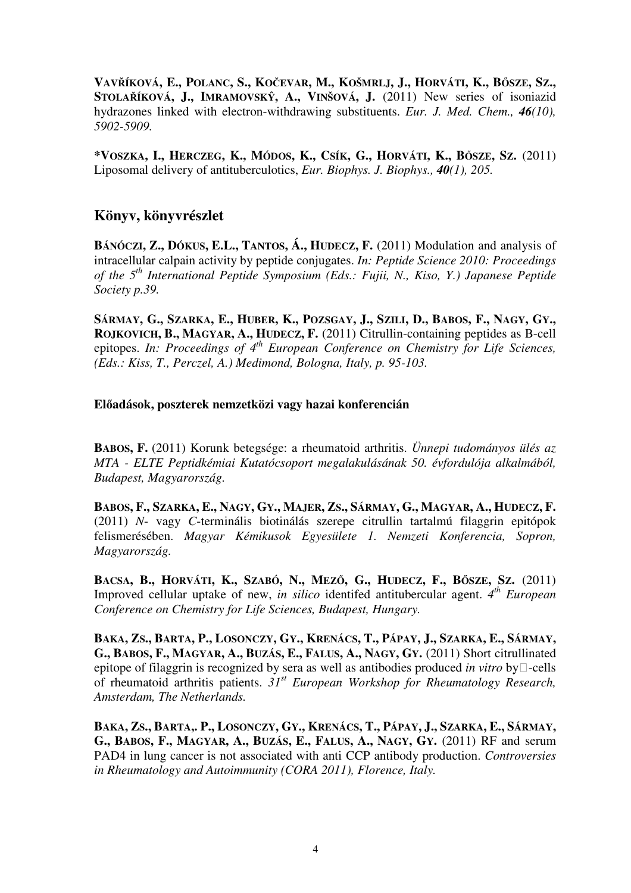VAVŘÍKOVÁ, E., POLANC, S., KOČEVAR, M., KOŠMRLJ, J., HORVÁTI, K., BŐSZE, SZ., **STOLA**Ř**ÍKOVÁ, J., IMRAMOVSK**Ŷ**, A., VINŠOVÁ, J.** (2011) New series of isoniazid hydrazones linked with electron-withdrawing substituents. *Eur. J. Med. Chem., 46(10), 5902-5909.* 

\*VOSZKA, I., HERCZEG, K., MÓDOS, K., CSÍK, G., HORVÁTI, K., BŐSZE, SZ. (2011) Liposomal delivery of antituberculotics, *Eur. Biophys. J. Biophys., 40(1), 205.*

## **Könyv, könyvrészlet**

**BÁNÓCZI, Z., DÓKUS, E.L., TANTOS, Á., HUDECZ, F.** (2011) Modulation and analysis of intracellular calpain activity by peptide conjugates. *In: Peptide Science 2010: Proceedings of the 5th International Peptide Symposium (Eds.: Fujii, N., Kiso, Y.) Japanese Peptide Society p.39.*

SÁRMAY, G., SZARKA, E., HUBER, K., POZSGAY, J., SZILI, D., BABOS, F., NAGY, GY., **ROJKOVICH, B., MAGYAR, A., HUDECZ, F.** (2011) Citrullin-containing peptides as B-cell epitopes. *In: Proceedings of 4th European Conference on Chemistry for Life Sciences, (Eds.: Kiss, T., Perczel, A.) Medimond, Bologna, Italy, p. 95-103.*

## **El**ő**adások, poszterek nemzetközi vagy hazai konferencián**

**BABOS, F.** (2011) Korunk betegsége: a rheumatoid arthritis. *Ünnepi tudományos ülés az MTA - ELTE Peptidkémiai Kutatócsoport megalakulásának 50. évfordulója alkalmából, Budapest, Magyarország.*

BABOS, F., SZARKA, E., NAGY, GY., MAJER, ZS., SÁRMAY, G., MAGYAR, A., HUDECZ, F. (2011) *N*- vagy *C*-terminális biotinálás szerepe citrullin tartalmú filaggrin epitópok felismerésében. *Magyar Kémikusok Egyesülete 1. Nemzeti Konferencia, Sopron, Magyarország.*

BACSA, B., HORVÁTI, K., SZABÓ, N., MEZŐ, G., HUDECZ, F., BŐSZE, SZ. (2011) Improved cellular uptake of new, *in silico* identifed antitubercular agent. 4<sup>th</sup> European *Conference on Chemistry for Life Sciences, Budapest, Hungary.* 

BAKA, ZS., BARTA, P., LOSONCZY, GY., KRENÁCS, T., PÁPAY, J., SZARKA, E., SÁRMAY, G., BABOS, F., MAGYAR, A., BUZÁS, E., FALUS, A., NAGY, GY. (2011) Short citrullinated epitope of filaggrin is recognized by sera as well as antibodies produced *in vitro* by  $\Box$ -cells of rheumatoid arthritis patients. *31st European Workshop for Rheumatology Research, Amsterdam, The Netherlands.* 

BAKA, ZS., BARTA, P., LOSONCZY, GY., KRENÁCS, T., PÁPAY, J., SZARKA, E., SÁRMAY, G., BABOS, F., MAGYAR, A., BUZÁS, E., FALUS, A., NAGY, GY. (2011) RF and serum PAD4 in lung cancer is not associated with anti CCP antibody production. *Controversies in Rheumatology and Autoimmunity (CORA 2011), Florence, Italy.*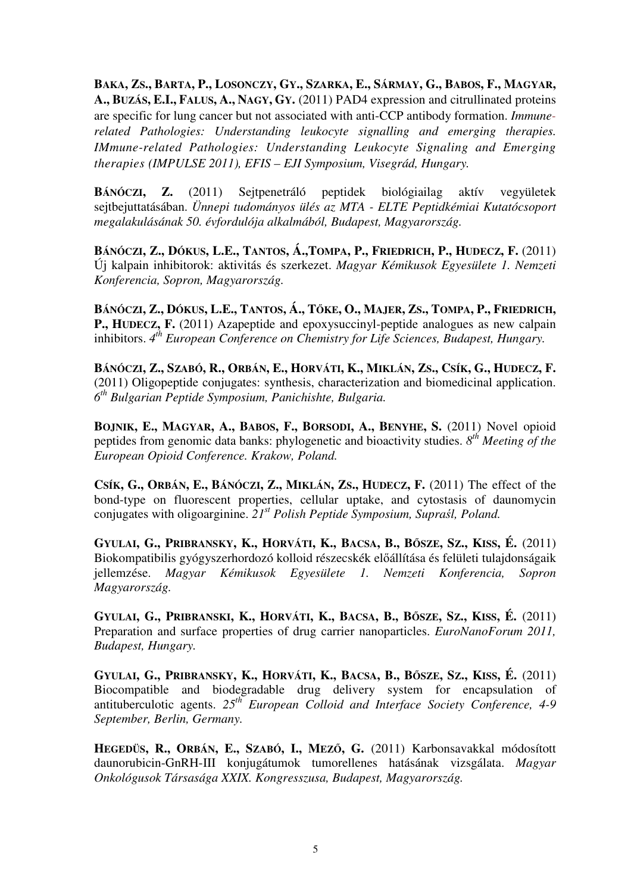BAKA, ZS., BARTA, P., LOSONCZY, GY., SZARKA, E., SÁRMAY, G., BABOS, F., MAGYAR, **A., BUZÁS, E.I., FALUS, A., NAGY, GY.** (2011) PAD4 expression and citrullinated proteins are specific for lung cancer but not associated with anti-CCP antibody formation. *Immunerelated Pathologies: Understanding leukocyte signalling and emerging therapies. IMmune-related Pathologies: Understanding Leukocyte Signaling and Emerging therapies (IMPULSE 2011), EFIS – EJI Symposium, Visegrád, Hungary.*

**BÁNÓCZI, Z.** (2011) Sejtpenetráló peptidek biológiailag aktív vegyületek sejtbejuttatásában. *Ünnepi tudományos ülés az MTA - ELTE Peptidkémiai Kutatócsoport megalakulásának 50. évfordulója alkalmából, Budapest, Magyarország.*

BÁNÓCZI, Z., DÓKUS, L.E., TANTOS, Á., TOMPA, P., FRIEDRICH, P., HUDECZ, F. (2011) Új kalpain inhibitorok: aktivitás és szerkezet. *Magyar Kémikusok Egyesülete 1. Nemzeti Konferencia, Sopron, Magyarország.* 

BÁNÓCZI, Z., DÓKUS, L.E., TANTOS, Á., TŐKE, O., MAJER, ZS., TOMPA, P., FRIEDRICH, **P., HUDECZ, F.** (2011) Azapeptide and epoxysuccinyl-peptide analogues as new calpain inhibitors. *4 th European Conference on Chemistry for Life Sciences, Budapest, Hungary.*

BÁNÓCZI, Z., SZABÓ, R., ORBÁN, E., HORVÁTI, K., MIKLÁN, ZS., CSÍK, G., HUDECZ, F. (2011) Oligopeptide conjugates: synthesis, characterization and biomedicinal application. *6 th Bulgarian Peptide Symposium, Panichishte, Bulgaria.*

**BOJNIK, E., MAGYAR, A., BABOS, F., BORSODI, A., BENYHE, S.** (2011) Novel opioid peptides from genomic data banks: phylogenetic and bioactivity studies. *8 th Meeting of the European Opioid Conference. Krakow, Poland.* 

CSÍK, G., ORBÁN, E., BÁNÓCZI, Z., MIKLÁN, ZS., HUDECZ, F. (2011) The effect of the bond-type on fluorescent properties, cellular uptake, and cytostasis of daunomycin conjugates with oligoarginine. *21st Polish Peptide Symposium, Supra*ś*l, Poland.*

GYULAI, G., PRIBRANSKY, K., HORVÁTI, K., BACSA, B., BŐSZE, SZ., KISS, É. (2011) Biokompatibilis gyógyszerhordozó kolloid részecskék előállítása és felületi tulajdonságaik jellemzése. *Magyar Kémikusok Egyesülete 1. Nemzeti Konferencia, Sopron Magyarország.*

GYULAI, G., PRIBRANSKI, K., HORVÁTI, K., BACSA, B., BŐSZE, SZ., KISS, É. (2011) Preparation and surface properties of drug carrier nanoparticles. *EuroNanoForum 2011, Budapest, Hungary.*

GYULAI, G., PRIBRANSKY, K., HORVÁTI, K., BACSA, B., BŐSZE, SZ., KISS, É. (2011) Biocompatible and biodegradable drug delivery system for encapsulation of antituberculotic agents. *25th European Colloid and Interface Society Conference, 4-9 September, Berlin, Germany.*

**HEGEDÜS, R., ORBÁN, E., SZABÓ, I., MEZ**Ő**, G.** (2011) Karbonsavakkal módosított daunorubicin-GnRH-III konjugátumok tumorellenes hatásának vizsgálata. *Magyar Onkológusok Társasága XXIX. Kongresszusa, Budapest, Magyarország.*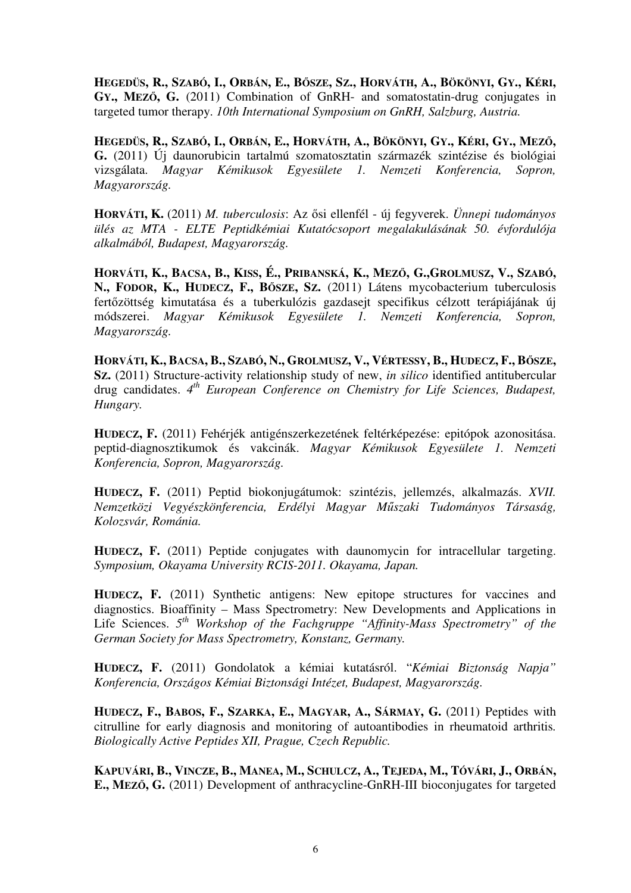HEGEDÜS, R., SZABÓ, I., ORBÁN, E., BŐSZE, SZ., HORVÁTH, A., BÖKÖNYI, GY., KÉRI, **GY., MEZ**Ő**, G.** (2011) Combination of GnRH- and somatostatin-drug conjugates in targeted tumor therapy. *10th International Symposium on GnRH, Salzburg, Austria.*

HEGEDÜS, R., SZABÓ, I., ORBÁN, E., HORVÁTH, A., BÖKÖNYI, GY., KÉRI, GY., MEZŐ, **G.** (2011) Új daunorubicin tartalmú szomatosztatin származék szintézise és biológiai vizsgálata. *Magyar Kémikusok Egyesülete 1. Nemzeti Konferencia, Sopron, Magyarország.*

**HORVÁTI, K.** (2011) *M. tuberculosis*: Az ősi ellenfél - új fegyverek. *Ünnepi tudományos ülés az MTA - ELTE Peptidkémiai Kutatócsoport megalakulásának 50. évfordulója alkalmából, Budapest, Magyarország.*

HORVÁTI, K., BACSA, B., KISS, É., PRIBANSKÁ, K., MEZŐ, G., GROLMUSZ, V., SZABÓ, **N., FODOR, K., HUDECZ, F., B**Ő**SZE, SZ.** (2011) Látens mycobacterium tuberculosis fertőzöttség kimutatása és a tuberkulózis gazdasejt specifikus célzott terápiájának új módszerei. *Magyar Kémikusok Egyesülete 1. Nemzeti Konferencia, Sopron, Magyarország.*

HORVÁTI, K., BACSA, B., SZABÓ, N., GROLMUSZ, V., VÉRTESSY, B., HUDECZ, F., BŐSZE, **SZ.** (2011) Structure-activity relationship study of new, *in silico* identified antitubercular drug candidates. 4<sup>th</sup> European Conference on Chemistry for Life Sciences, Budapest, *Hungary.* 

**HUDECZ, F.** (2011) Fehérjék antigénszerkezetének feltérképezése: epitópok azonositása. peptid-diagnosztikumok és vakcinák. *Magyar Kémikusok Egyesülete 1. Nemzeti Konferencia, Sopron, Magyarország.*

**HUDECZ, F.** (2011) Peptid biokonjugátumok: szintézis, jellemzés, alkalmazás. *XVII. Nemzetközi Vegyészkönferencia, Erdélyi Magyar M*ű*szaki Tudományos Társaság, Kolozsvár, Románia.*

**HUDECZ, F.** (2011) Peptide conjugates with daunomycin for intracellular targeting. *Symposium, Okayama University RCIS-2011. Okayama, Japan.*

**HUDECZ, F.** (2011) Synthetic antigens: New epitope structures for vaccines and diagnostics. Bioaffinity – Mass Spectrometry: New Developments and Applications in Life Sciences. 5<sup>th</sup> Workshop of the Fachgruppe "Affinity-Mass Spectrometry" of the *German Society for Mass Spectrometry, Konstanz, Germany.* 

**HUDECZ, F.** (2011) Gondolatok a kémiai kutatásról. "*Kémiai Biztonság Napja" Konferencia, Országos Kémiai Biztonsági Intézet, Budapest, Magyarország.* 

**HUDECZ, F., BABOS, F., SZARKA, E., MAGYAR, A., SÁRMAY, G.** (2011) Peptides with citrulline for early diagnosis and monitoring of autoantibodies in rheumatoid arthritis*. Biologically Active Peptides XII, Prague, Czech Republic.*

KAPUVÁRI, B., VINCZE, B., MANEA, M., SCHULCZ, A., TEJEDA, M., TÓVÁRI, J., ORBÁN, **E., MEZ**Ő**, G.** (2011) Development of anthracycline-GnRH-III bioconjugates for targeted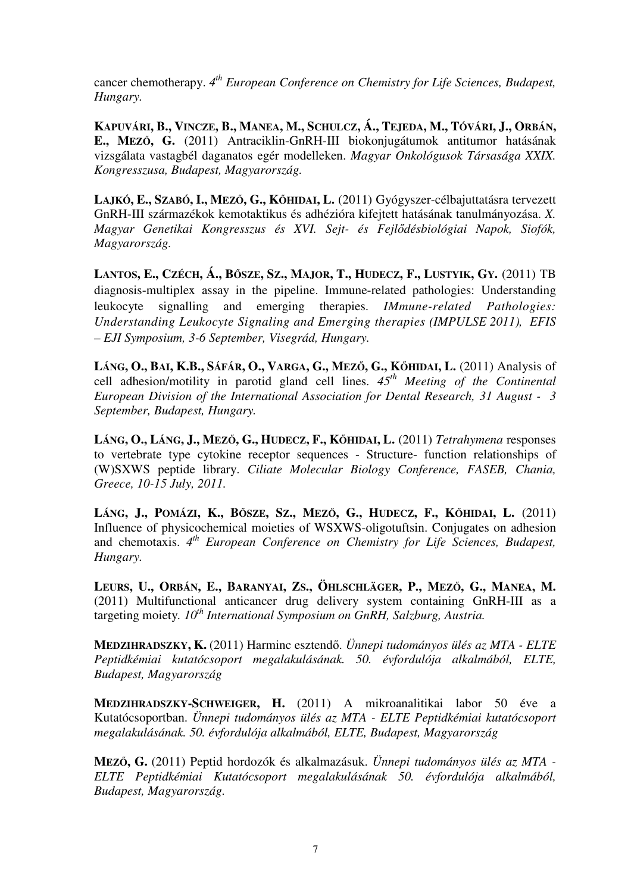cancer chemotherapy. *4 th European Conference on Chemistry for Life Sciences, Budapest, Hungary.*

KAPUVÁRI, B., VINCZE, B., MANEA, M., SCHULCZ, Á., TEJEDA, M., TÓVÁRI, J., ORBÁN, **E., MEZ**Ő**, G.** (2011) Antraciklin-GnRH-III biokonjugátumok antitumor hatásának vizsgálata vastagbél daganatos egér modelleken. *Magyar Onkológusok Társasága XXIX. Kongresszusa, Budapest, Magyarország.*

**LAJKÓ, E., SZABÓ, I., MEZ**Ő**, G., K**Ő**HIDAI, L.** (2011) Gyógyszer-célbajuttatásra tervezett GnRH-III származékok kemotaktikus és adhézióra kifejtett hatásának tanulmányozása. *X. Magyar Genetikai Kongresszus és XVI. Sejt- és Fejl*ő*désbiológiai Napok, Siofók, Magyarország.*

LANTOS, E., CZÉCH, Á., BŐSZE, SZ., MAJOR, T., HUDECZ, F., LUSTYIK, GY. (2011) TB diagnosis-multiplex assay in the pipeline. Immune-related pathologies: Understanding leukocyte signalling and emerging therapies. *IMmune-related Pathologies: Understanding Leukocyte Signaling and Emerging therapies (IMPULSE 2011), EFIS – EJI Symposium, 3-6 September, Visegrád, Hungary.*

LÁNG, O., BAI, K.B., SÁFÁR, O., VARGA, G., MEZŐ, G., KŐHIDAI, L. (2011) Analysis of cell adhesion/motility in parotid gland cell lines. *45th Meeting of the Continental European Division of the International Association for Dental Research, 31 August - 3 September, Budapest, Hungary.*

LÁNG, O., LÁNG, J., MEZŐ, G., HUDECZ, F., KŐHIDAI, L. (2011) Tetrahymena responses to vertebrate type cytokine receptor sequences - Structure- function relationships of (W)SXWS peptide library. *Ciliate Molecular Biology Conference, FASEB, Chania, Greece, 10-15 July, 2011.*

LÁNG, J., POMÁZI, K., BŐSZE, SZ., MEZŐ, G., HUDECZ, F., KŐHIDAI, L. (2011) Influence of physicochemical moieties of WSXWS-oligotuftsin. Conjugates on adhesion and chemotaxis. 4<sup>th</sup> European Conference on Chemistry for Life Sciences, Budapest, *Hungary.*

LEURS, U., ORBÁN, E., BARANYAI, ZS., ÖHLSCHLÄGER, P., MEZŐ, G., MANEA. M. (2011) Multifunctional anticancer drug delivery system containing GnRH-III as a targeting moiety*. 10th International Symposium on GnRH, Salzburg, Austria.*

**MEDZIHRADSZKY, K.** (2011) Harminc esztendő. *Ünnepi tudományos ülés az MTA - ELTE Peptidkémiai kutatócsoport megalakulásának. 50. évfordulója alkalmából, ELTE, Budapest, Magyarország* 

**MEDZIHRADSZKY-SCHWEIGER, H.** (2011) A mikroanalitikai labor 50 éve a Kutatócsoportban. *Ünnepi tudományos ülés az MTA - ELTE Peptidkémiai kutatócsoport megalakulásának. 50. évfordulója alkalmából, ELTE, Budapest, Magyarország* 

**MEZ**Ő**, G.** (2011) Peptid hordozók és alkalmazásuk. *Ünnepi tudományos ülés az MTA - ELTE Peptidkémiai Kutatócsoport megalakulásának 50. évfordulója alkalmából, Budapest, Magyarország.*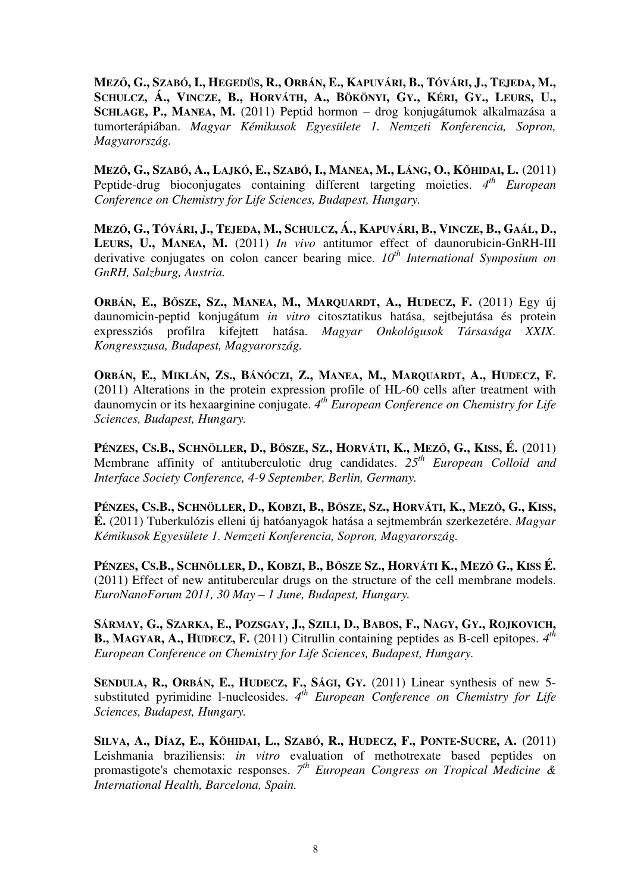MEZŐ, G., SZABÓ, I., HEGEDÜS, R., ORBÁN, E., KAPUVÁRI, B., TÓVÁRI, J., TEJEDA, M., SCHULCZ, Á., VINCZE, B., HORVÁTH, A., BÖKÖNYI, GY., KÉRI, GY., LEURS, U., **SCHLAGE, P., MANEA, M.** (2011) Peptid hormon – drog konjugátumok alkalmazása a tumorterápiában. *Magyar Kémikusok Egyesülete 1. Nemzeti Konferencia, Sopron, Magyarország.*

MEZŐ, G., SZABÓ, A., LAJKÓ, E., SZABÓ, I., MANEA, M., LÁNG, O., KŐHIDAI, L. (2011) Peptide-drug bioconjugates containing different targeting moieties. 4<sup>th</sup> European *Conference on Chemistry for Life Sciences, Budapest, Hungary.*

MEZŐ, G., TÓVÁRI, J., TEJEDA, M., SCHULCZ, Á., KAPUVÁRI, B., VINCZE, B., GAÁL, D., **LEURS, U., MANEA, M.** (2011) *In vivo* antitumor effect of daunorubicin-GnRH-III derivative conjugates on colon cancer bearing mice. *10th International Symposium on GnRH, Salzburg, Austria.*

ORBÁN, E., BŐSZE, SZ., MANEA, M., MARQUARDT, A., HUDECZ, F. (2011) Egy új daunomicin-peptid konjugátum *in vitro* citosztatikus hatása, sejtbejutása és protein expressziós profilra kifejtett hatása. *Magyar Onkológusok Társasága XXIX. Kongresszusa, Budapest, Magyarország.*

ORBÁN, E., MIKLÁN, ZS., BÁNÓCZI, Z., MANEA, M., MARQUARDT, A., HUDECZ, F. (2011) Alterations in the protein expression profile of HL-60 cells after treatment with daunomycin or its hexaarginine conjugate. *4 th European Conference on Chemistry for Life Sciences, Budapest, Hungary.*

PÉNZES, CS.B., SCHNÖLLER, D., BŐSZE, SZ., HORVÁTI, K., MEZŐ, G., KISS, É. (2011) Membrane affinity of antituberculotic drug candidates. *25th European Colloid and Interface Society Conference, 4-9 September, Berlin, Germany.*

PÉNZES, CS.B., SCHNÖLLER, D., KOBZI, B., BŐSZE, SZ., HORVÁTI, K., MEZŐ, G., KISS, **É.** (2011) Tuberkulózis elleni új hatóanyagok hatása a sejtmembrán szerkezetére. *Magyar Kémikusok Egyesülete 1. Nemzeti Konferencia, Sopron, Magyarország.*

PÉNZES, CS.B., SCHNÖLLER, D., KOBZI, B., BŐSZE SZ., HORVÁTI K., MEZŐ G., KISS É. (2011) Effect of new antitubercular drugs on the structure of the cell membrane models. *EuroNanoForum 2011, 30 May – 1 June, Budapest, Hungary.*

SÁRMAY, G., SZARKA, E., POZSGAY, J., SZILI, D., BABOS, F., NAGY, GY., ROJKOVICH, **B., MAGYAR, A., HUDECZ, F.** (2011) Citrullin containing peptides as B-cell epitopes. *4 th European Conference on Chemistry for Life Sciences, Budapest, Hungary.*

**SENDULA, R., ORBÁN, E., HUDECZ, F., SÁGI, GY.** (2011) Linear synthesis of new 5 substituted pyrimidine 1-nucleosides.  $4^{th}$  *European Conference on Chemistry for Life Sciences, Budapest, Hungary.*

SILVA, A., DÍAZ, E., KŐHIDAI, L., SZABÓ, R., HUDECZ, F., PONTE-SUCRE, A. (2011) Leishmania braziliensis: *in vitro* evaluation of methotrexate based peptides on promastigote's chemotaxic responses. 7<sup>th</sup> European Congress on Tropical Medicine & *International Health, Barcelona, Spain.*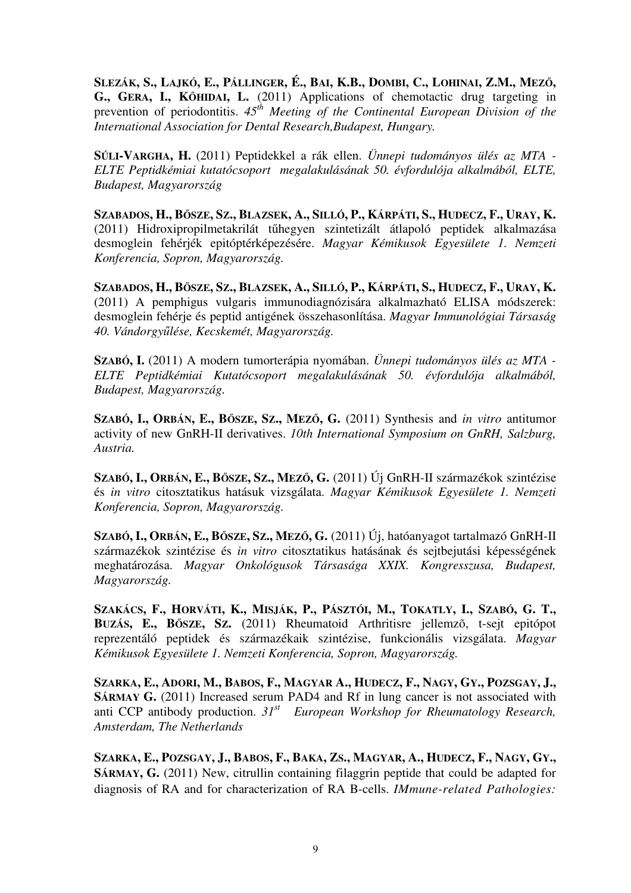SLEZÁK, S., LAJKÓ, E., PÁLLINGER, É., BAI, K.B., DOMBI, C., LOHINAI, Z.M., MEZŐ, **G., GERA, I., K**Ő**HIDAI, L.** (2011) Applications of chemotactic drug targeting in prevention of periodontitis.  $45<sup>th</sup>$  Meeting of the Continental European Division of the *International Association for Dental Research,Budapest, Hungary.*

**SÚLI-VARGHA, H.** (2011) Peptidekkel a rák ellen. *Ünnepi tudományos ülés az MTA - ELTE Peptidkémiai kutatócsoport megalakulásának 50. évfordulója alkalmából, ELTE, Budapest, Magyarország* 

SZABADOS, H., BŐSZE, SZ., BLAZSEK, A., SILLÓ, P., KÁRPÁTI, S., HUDECZ, F., URAY, K. (2011) Hidroxipropilmetakrilát tűhegyen szintetizált átlapoló peptidek alkalmazása desmoglein fehérjék epitóptérképezésére. *Magyar Kémikusok Egyesülete 1. Nemzeti Konferencia, Sopron, Magyarország.*

SZABADOS, H., BŐSZE, SZ., BLAZSEK, A., SILLÓ, P., KÁRPÁTI, S., HUDECZ, F., URAY, K. (2011) A pemphigus vulgaris immunodiagnózisára alkalmazható ELISA módszerek: desmoglein fehérje és peptid antigének összehasonlítása. *Magyar Immunológiai Társaság 40. Vándorgy*ű*lése, Kecskemét, Magyarország.*

**SZABÓ, I.** (2011) A modern tumorterápia nyomában. *Ünnepi tudományos ülés az MTA - ELTE Peptidkémiai Kutatócsoport megalakulásának 50. évfordulója alkalmából, Budapest, Magyarország.*

**SZABÓ, I., ORBÁN, E., B**Ő**SZE, SZ., MEZ**Ő**, G.** (2011) Synthesis and *in vitro* antitumor activity of new GnRH-II derivatives. *10th International Symposium on GnRH, Salzburg, Austria.*

**SZABÓ, I., ORBÁN, E., B**Ő**SZE, SZ., MEZ**Ő**, G.** (2011) Új GnRH-II származékok szintézise és *in vitro* citosztatikus hatásuk vizsgálata. *Magyar Kémikusok Egyesülete 1. Nemzeti Konferencia, Sopron, Magyarország.*

**SZABÓ, I., ORBÁN, E., B**Ő**SZE, SZ., MEZ**Ő**, G.** (2011) Új, hatóanyagot tartalmazó GnRH-II származékok szintézise és *in vitro* citosztatikus hatásának és sejtbejutási képességének meghatározása. *Magyar Onkológusok Társasága XXIX. Kongresszusa, Budapest, Magyarország.*

SZAKÁCS, F., HORVÁTI, K., MISJÁK, P., PÁSZTÓI, M., TOKATLY, I., SZABÓ, G. T., **BUZÁS, E., B**Ő**SZE, SZ.** (2011) Rheumatoid Arthritisre jellemzõ, t-sejt epitópot reprezentáló peptidek és származékaik szintézise, funkcionális vizsgálata. *Magyar Kémikusok Egyesülete 1. Nemzeti Konferencia, Sopron, Magyarország.*

SZARKA, E., ADORI, M., BABOS, F., MAGYAR A., HUDECZ, F., NAGY, GY., POZSGAY, J., **SÁRMAY G.** (2011) Increased serum PAD4 and Rf in lung cancer is not associated with anti CCP antibody production. *31st European Workshop for Rheumatology Research, Amsterdam, The Netherlands* 

SZARKA, E., POZSGAY, J., BABOS, F., BAKA, ZS., MAGYAR, A., HUDECZ, F., NAGY, GY., **SÁRMAY, G.** (2011) New, citrullin containing filaggrin peptide that could be adapted for diagnosis of RA and for characterization of RA B-cells. *IMmune-related Pathologies:*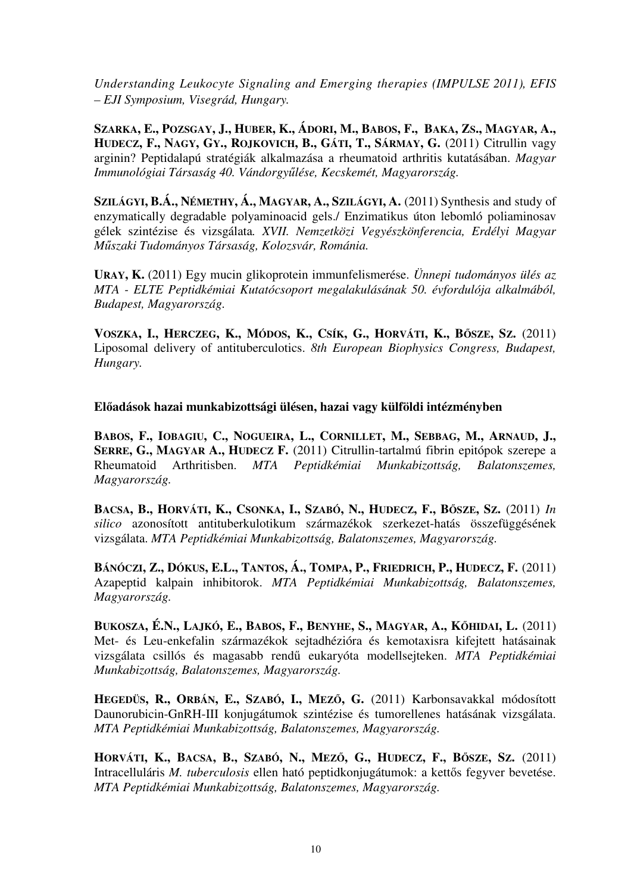*Understanding Leukocyte Signaling and Emerging therapies (IMPULSE 2011), EFIS – EJI Symposium, Visegrád, Hungary.*

SZARKA, E., POZSGAY, J., HUBER, K., ÁDORI, M., BABOS, F., BAKA, ZS., MAGYAR, A., HUDECZ, F., NAGY, GY., ROJKOVICH, B., GÁTI, T., SÁRMAY, G. (2011) Citrullin vagy arginin? Peptidalapú stratégiák alkalmazása a rheumatoid arthritis kutatásában. *Magyar Immunológiai Társaság 40. Vándorgy*ű*lése, Kecskemét, Magyarország.*

**SZILÁGYI, B.Á., NÉMETHY, Á., MAGYAR, A., SZILÁGYI, A.** (2011) Synthesis and study of enzymatically degradable polyaminoacid gels./ Enzimatikus úton lebomló poliaminosav gélek szintézise és vizsgálata*. XVII. Nemzetközi Vegyészkönferencia, Erdélyi Magyar M*ű*szaki Tudományos Társaság, Kolozsvár, Románia.*

**URAY, K.** (2011) Egy mucin glikoprotein immunfelismerése. *Ünnepi tudományos ülés az MTA - ELTE Peptidkémiai Kutatócsoport megalakulásának 50. évfordulója alkalmából, Budapest, Magyarország.*

VOSZKA, I., HERCZEG, K., MÓDOS, K., CSÍK, G., HORVÁTI, K., BŐSZE, SZ. (2011) Liposomal delivery of antituberculotics. *8th European Biophysics Congress, Budapest, Hungary.* 

**El**ő**adások hazai munkabizottsági ülésen, hazai vagy külföldi intézményben** 

BABOS, F., IOBAGIU, C., NOGUEIRA, L., CORNILLET, M., SEBBAG, M., ARNAUD, J., **SERRE, G., MAGYAR A., HUDECZ F.** (2011) Citrullin-tartalmú fibrin epitópok szerepe a Rheumatoid Arthritisben. *MTA Peptidkémiai Munkabizottság, Balatonszemes, Magyarország.* 

BACSA, B., HORVÁTI, K., CSONKA, I., SZABÓ, N., HUDECZ, F., BŐSZE, SZ. (2011) In *silico* azonosított antituberkulotikum származékok szerkezet-hatás összefüggésének vizsgálata. *MTA Peptidkémiai Munkabizottság, Balatonszemes, Magyarország.* 

BÁNÓCZI, Z., DÓKUS, E.L., TANTOS, Á., TOMPA, P., FRIEDRICH, P., HUDECZ, F. (2011) Azapeptid kalpain inhibitorok. *MTA Peptidkémiai Munkabizottság, Balatonszemes, Magyarország.*

BUKOSZA, É.N., LAJKÓ, E., BABOS, F., BENYHE, S., MAGYAR, A., KŐHIDAI, L. (2011) Met- és Leu-enkefalin származékok sejtadhézióra és kemotaxisra kifejtett hatásainak vizsgálata csillós és magasabb rendű eukaryóta modellsejteken. *MTA Peptidkémiai Munkabizottság, Balatonszemes, Magyarország.*

**HEGEDÜS, R., ORBÁN, E., SZABÓ, I., MEZ**Ő**, G.** (2011) Karbonsavakkal módosított Daunorubicin-GnRH-III konjugátumok szintézise és tumorellenes hatásának vizsgálata. *MTA Peptidkémiai Munkabizottság, Balatonszemes, Magyarország.*

HORVÁTI, K., BACSA, B., SZABÓ, N., MEZŐ, G., HUDECZ, F., BŐSZE, SZ. (2011) Intracelluláris *M. tuberculosis* ellen ható peptidkonjugátumok: a kettős fegyver bevetése. *MTA Peptidkémiai Munkabizottság, Balatonszemes, Magyarország.*